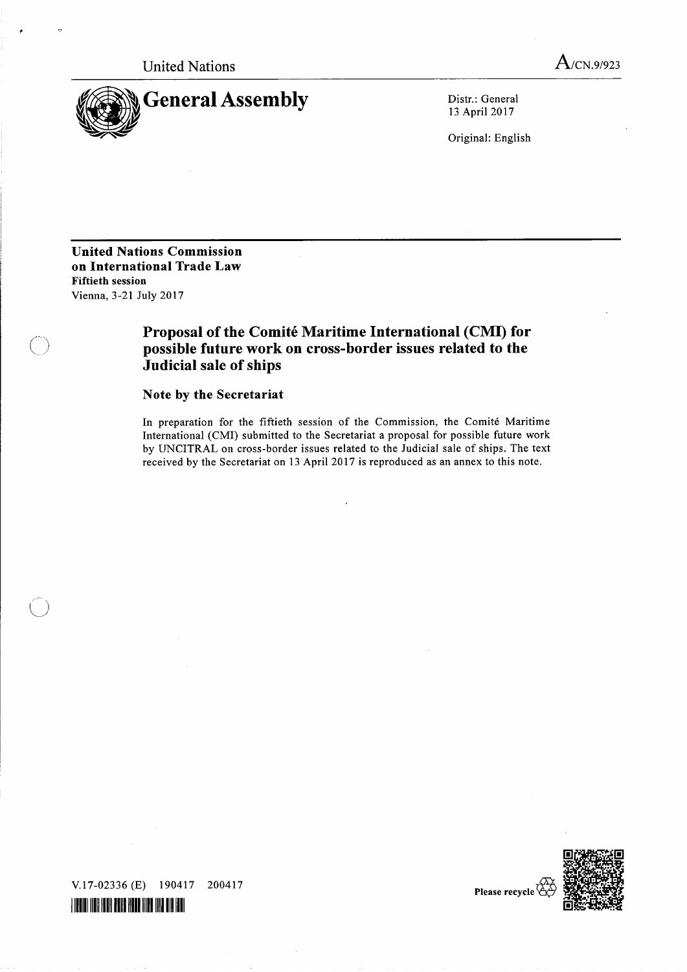United Nations A/CN.9/923



13 April 2017

Original: English

United Nations Commission on International Trade Law Fiftieth session Vienna, 3-21 July 2017

# Proposal of the Comité Maritime International (CMI) for possible future work on cross-border issues related to the Judicial sale of ships

## Note by the Secretariat

In preparation for the fiftieth session of the Commission, the Comite Maritime International (CMI) submitted to the Secretariat a proposal for possible future work by UNCITRAL on cross-border issues related to the Judicial sale of ships. The text received by the Secretariat on 13 April 2017 is reproduced as an annex to this note.



Please recycle  $\sqrt{ }$ 

V.17-02336 (E) 190417 200417 IIIIIII VIII IIII AIRI AIRI AIRI VIII III AI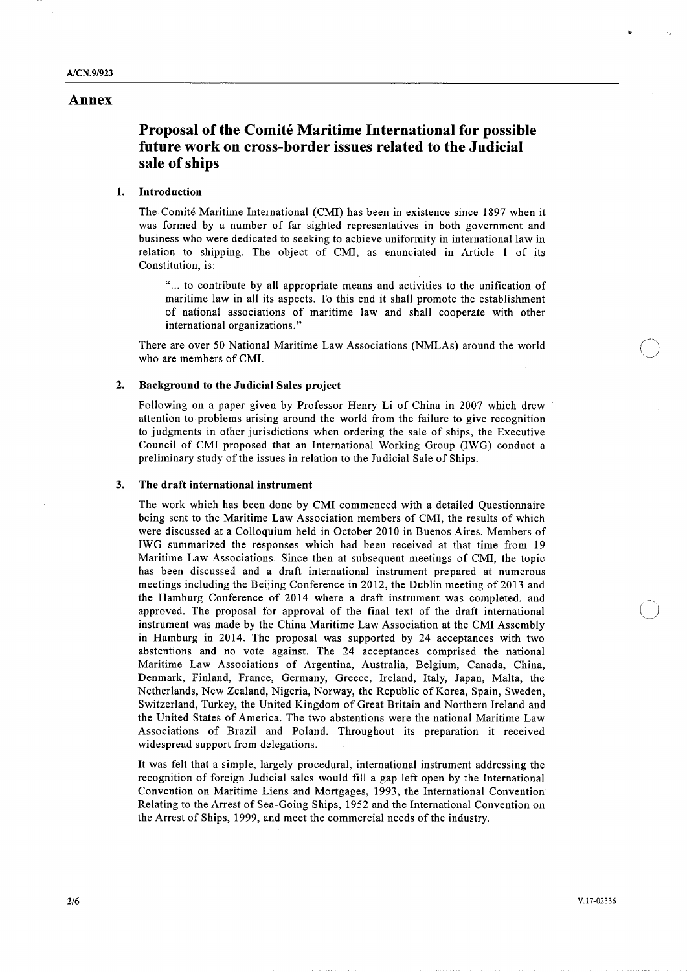### Annex

## Proposal of the Comite Maritime International for possible future work on cross-border issues related to the Judicial sale of ships

## 1. Introduction

The. Comite Maritime International (CMI) has been in existence since 1897 when it was formed by a number of far sighted representatives in both government and business who were dedicated to seeking to achieve uniformity in international law in relation to shipping. The object of CMI, as enunciated in Article 1 of its Constitution, is:

"... to contribute by all appropriate means and activities to the unification of maritime law in all its aspects. To this end it shall promote the establishment of national associations of maritime law and shall cooperate with other international organizations."

There are over 50 National Maritime Law Associations (NMLAs) around the world who are members of CMI.

#### 2. Background to the Judicial Sales project

Following on a paper given by Professor Henry Li of China in 2007 which drew attention to problems arising around the world from the failure to give recognition to judgments in other jurisdictions when ordering the sale of ships, the Executive Council of CMI proposed that an International Working Group (IWG) conduct a preliminary study of the issues in relation to the Judicial Sale of Ships.

#### 3. The draft international instrument

The work which has been done by CMI commenced with a detailed Questionnaire being sent to the Maritime Law Association members of CMI, the results of which were discussed at a Colloquium held in October 2010 in Buenos Aires. Members of IWG summarized the responses which had been received at that time from 19 Maritime Law Associations. Since then at subsequent meetings of CMI, the topic has been discussed and a draft international instrument prepared at numerous meetings including the Beijing Conference in 2012, the Dublin meeting of 2013 and the Hamburg Conference of 2014 where a draft instrument was completed, and approved. The proposal for approval of the final text of the draft international instrument was made by the China Maritime Law Association at the CMI Assembly in Hamburg in 2014. The proposal was supported by 24 acceptances with two abstentions and no vote against. The 24 acceptances comprised the national Maritime Law Associations of Argentina, Australia, Belgium, Canada, China, Denmark, Finland, France, Germany, Greece, Ireland, Italy, Japan, Malta, the Netherlands, New Zealand, Nigeria, Norway, the Republic of Korea, Spain, Sweden, Switzerland, Turkey, the United Kingdom of Great Britain and Northern Ireland and the United States of America. The two abstentions were the national Maritime Law Associations of Brazil and Poland. Throughout its preparation it received widespread support from delegations.

It was felt that a simple, largely procedural, international instrument addressing the recognition of foreign Judicial sales would fill a gap left open by the International Convention on Maritime Liens and Mortgages, 1993, the International Convention Relating to the Arrest of Sea-Going Ships, 1952 and the International Convention on the Arrest of Ships, 1999, and meet the commercial needs of the industry.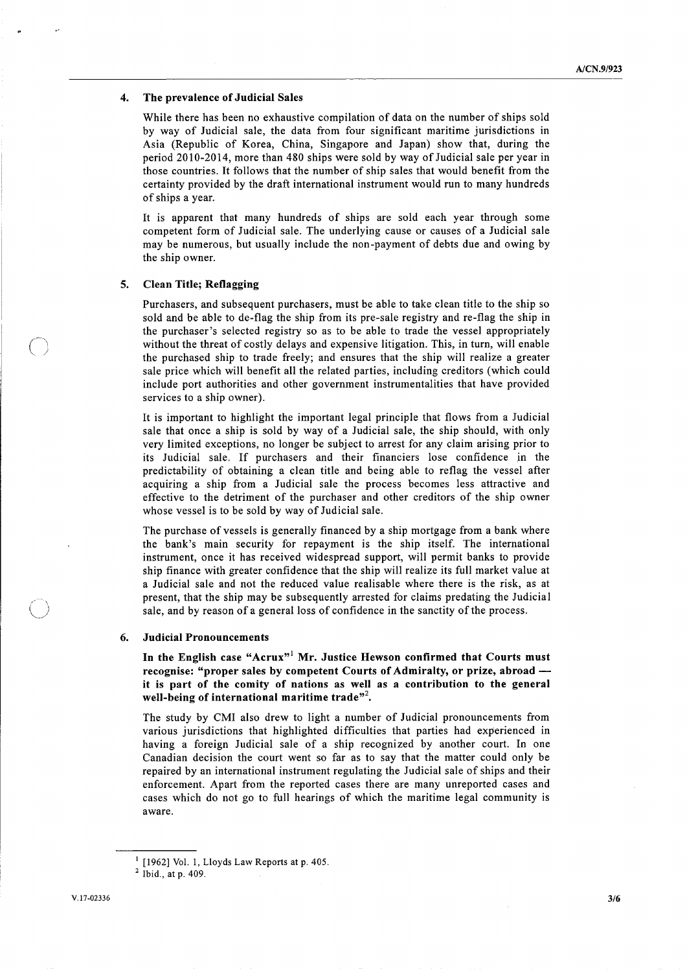#### 4. The prevalence of Judicial Sales

While there has been no exhaustive compilation of data on the number of ships sold by way of Judicial sale, the data from four significant maritime jurisdictions in Asia (Republic of Korea, China, Singapore and Japan) show that, during the period 2010-2014, more than 480 ships were sold by way of Judicial sale per year in those countries. It follows that the number of ship sales that would benefit from the certainty provided by the draft international instrument would run to many hundreds of ships a year.

It is apparent that many hundreds of ships are sold each year through some competent form of Judicial sale. The underlying cause or causes of a Judicial sale may be numerous, but usually include the non-payment of debts due and owing by the ship owner.

#### 5. Clean Title; Reflagging

Purchasers, and subsequent purchasers, must be able to take clean title to the ship so sold and be able to de-flag the ship from its pre-sale registry and re-flag the ship in the purchaser's selected registry so as to be able to trade the vessel appropriately without the threat of costly delays and expensive litigation. This, in turn, will enable l the purchased ship to trade freely; and ensures that the ship will realize a greater sale price which will benefit all the related parties, including creditors (which could include port authorities and other government instrumentalities that have provided services to a ship owner).

It is important to highlight the important legal principle that flows from a Judicial sale that once a ship is sold by way of a Judicial sale, the ship should, with only very limited exceptions, no longer be subject to arrest for any claim arising prior to its Judicial sale. If purchasers and their financiers lose confidence in the predictability of obtaining a clean title and being able to reflag the vessel after acquiring a ship from a Judicial sale the process becomes less attractive and effective to the detriment of the purchaser and other creditors of the ship owner whose vessel is to be sold by way of Judicial sale.

The purchase of vessels is generally financed by a ship mortgage from a bank where the bank's main security for repayment is the ship itself. The international instrument, once it has received widespread support, will permit banks to provide ship finance with greater confidence that the ship will realize its full market value at a Judicial sale and not the reduced value realisable where there is the risk, as at present, that the ship may be subsequently arrested for claims predating the Judicial sale, and by reason of a general loss of confidence in the sanctity of the process.

#### 6. Judicial Pronouncements

In the English case "Acrux"<sup>1</sup> Mr. Justice Hewson confirmed that Courts must recognise: "proper sales by competent Courts of Admiralty, or prize, abroad it is part of the comity of nations as well as a contribution to the general well-being of international maritime trade"<sup>2</sup>.

The study by CMI also drew to light a number of Judicial pronouncements from various jurisdictions that highlighted difficulties that parties had experienced in having a foreign Judicial sale of a ship recognized by another court. In one Canadian decision the court went so far as to say that the matter could only be repaired by an international instrument regulating the Judicial sale of ships and their enforcement. Apart from the reported cases there are many unreported cases and cases which do not go to full hearings of which the maritime legal community is aware.

 $\bigcup$ 

 $<sup>1</sup>$  [1962] Vol. 1, Lloyds Law Reports at p. 405.</sup>

 $2$  Ibid., at p. 409.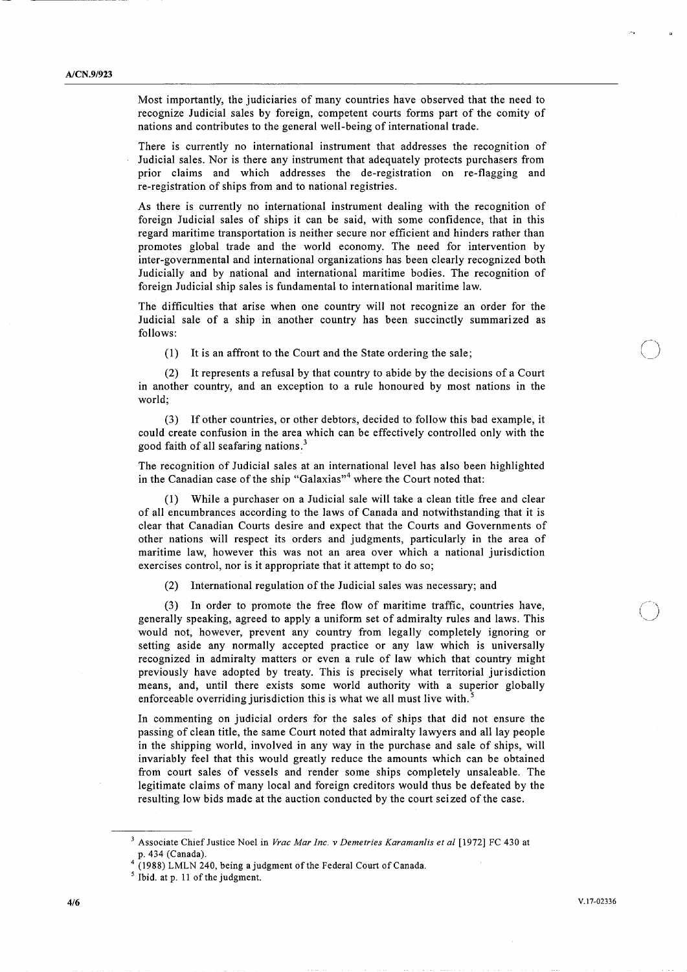Most importantly, the judiciaries of many countries have observed that the need to recognize Judicial sales by foreign, competent courts forms part of the comity of nations and contributes to the general well-being of international trade.

There is currently no international instrument that addresses the recognition of Judicial sales. Nor is there any instrument that adequately protects purchasers from prior claims and which addresses the de-registration on re-flagging and re-registration of ships from and to national registries.

As there is currently no international instrument dealing with the recognition of foreign Judicial sales of ships it can be said, with some confidence, that in this regard maritime transportation is neither secure nor efficient and hinders rather than promotes global trade and the world economy. The need for intervention by inter-governmental and international organizations has been clearly recognized both Judicially and by national and international maritime bodies. The recognition of foreign Judicial ship sales is fundamental to international maritime law.

The difficulties that arise when one country will not recognize an order for the Judicial sale of a ship in another country has been succinctly summarized as follows:

(1) It is an affront to the Court and the State ordering the sale;

(2) It represents a refusal by that country to abide by the decisions of a Court in another country, and an exception to a rule honoured by most nations in the world;

(3) If other countries, or other debtors, decided to follow this bad example, it could create confusion in the area which can be effectively controlled only with the good faith of all seafaring nations.<sup>3</sup>

The recognition of Judicial sales at an international level has also been highlighted in the Canadian case of the ship "Galaxias"<sup>4</sup> where the Court noted that:

(1) While a purchaser on a Judicial sale will take a clean title free and clear of all encumbrances according to the laws of Canada and notwithstanding that it is clear that Canadian Courts desire and expect that the Courts and Governments of other nations will respect its orders and judgments, particularly in the area of maritime law, however this was not an area over which a national jurisdiction exercises control, nor is it appropriate that it attempt to do so;

(2) International regulation of the Judicial sales was necessary; and

(3) In order to promote the free flow of maritime traffic, countries have, generally speaking, agreed to apply a uniform set of admiralty rules and laws. This would not, however, prevent any country from legally completely ignoring or setting aside any normally accepted practice or any law which is universally recognized in admiralty matters or even a rule of law which that country might previously have adopted by treaty. This is precisely what territorial jurisdiction means, and, until there exists some world authority with a superior globally enforceable overriding jurisdiction this is what we all must live with. $\cdot$ 

In commenting on judicial orders for the sales of ships that did not ensure the passing of clean title, the same Court noted that admiralty lawyers and all lay people in the shipping world, involved in any way in the purchase and sale of ships, will invariably feel that this would greatly reduce the amounts which can be obtained from court sales of vessels and render some ships completely unsaleable. The legitimate claims of many local and foreign creditors would thus be defeated by the resulting low bids made at the auction conducted by the court seized of the case.

 $\bigcirc$ 

<sup>&</sup>lt;sup>3</sup> Associate Chief Justice Noel in Vrac Mar Inc. v Demetries Karamanlis et al [1972] FC 430 at p. 434 (Canada).

<sup>4</sup> (1988) LMLN 240, being a judgment of the Federal Court of Canada.

<sup>5</sup> Ibid. at p. 11 of the judgment.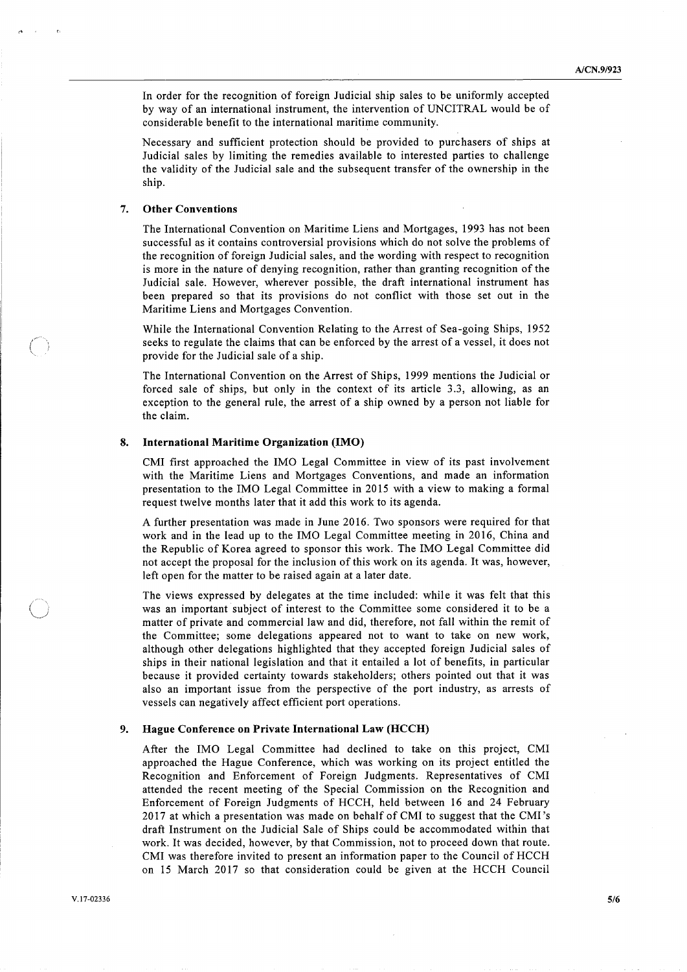In order for the recognition of foreign Judicial ship sales to be uniformly accepted by way of an international instrument, the intervention of UNCITRAL would be of considerable benefit to the international maritime community.

Necessary and sufficient protection should be provided to purchasers of ships at Judicial sales by limiting the remedies available to interested parties to challenge the validity of the Judicial sale and the subsequent transfer of the ownership in the ship.

#### 7. Other Conventions

The International Convention on Maritime Liens and Mortgages, 1993 has not been successful as it contains controversial provisions which do not solve the problems of the recognition of foreign Judicial sales, and the wording with respect to recognition is more in the nature of denying recognition, rather than granting recognition of the Judicial sale. However, wherever possible, the draft international instrument has been prepared so that its provisions do not conflict with those set out in the Maritime Liens and Mortgages Convention.

While the International Convention Relating to the Arrest of Sea-going Ships, 1952 been prepared so that its provisions do not conflict with those set out in the Maritime Liens and Mortgages Convention.<br>While the International Convention Relating to the Arrest of Sea-going Ships, 1952<br>seeks to regulate t provide for the Judicial sale of a ship.

> The International Convention on the Arrest of Ships, 1999 mentions the Judicial or forced sale of ships, but only in the context of its article 3.3, allowing, as an exception to the general rule, the arrest of a ship owned by a person not liable for the claim.

### 8. International Maritime Organization (IMO)

CMI first approached the IMO Legal Committee in view of its past involvement with the Maritime Liens and Mortgages Conventions, and made an information presentation to the IMO Legal Committee in 2015 with a view to making a formal request twelve months later that it add this work to its agenda.

A further presentation was made in June 2016. Two sponsors were required for that work and in the lead up to the IMO Legal Committee meeting in 2016, China and the Republic of Korea agreed to sponsor this work. The IMO Legal Committee did not accept the proposal for the inclusion of this work on its agenda. It was, however, left open for the matter to be raised again at a later date.

The views expressed by delegates at the time included: while it was felt that this was an important subject of interest to the Committee some considered it to be a matter of private and commercial law and did, therefore, not fall within the remit of the Committee; some delegations appeared not to want to take on new work, although other delegations highlighted that they accepted foreign Judicial sales of ships in their national legislation and that it entailed a lot of benefits, in particular because it provided certainty towards stakeholders; others pointed out that it was also an important issue from the perspective of the port industry, as arrests of vessels can negatively affect efficient port operations.

#### 9. Hague Conference on Private International Law (HCCH)

After the IMO Legal Committee had declined to take on this project, CMI approached the Hague Conference, which was working on its project entitled the Recognition and Enforcement of Foreign Judgments. Representatives of CMI attended the recent meeting of the Special Commission on the Recognition and Enforcement of Foreign Judgments of HCCH, held between 16 and 24 February 2017 at which a presentation was made on behalf of CMI to suggest that the CMI's draft Instrument on the Judicial Sale of Ships could be accommodated within that work. It was decided, however, by that Commission, not to proceed down that route. CMI was therefore invited to present an information paper to the Council of HCCH on 15 March 2017 so that consideration could be given at the HCCH Council